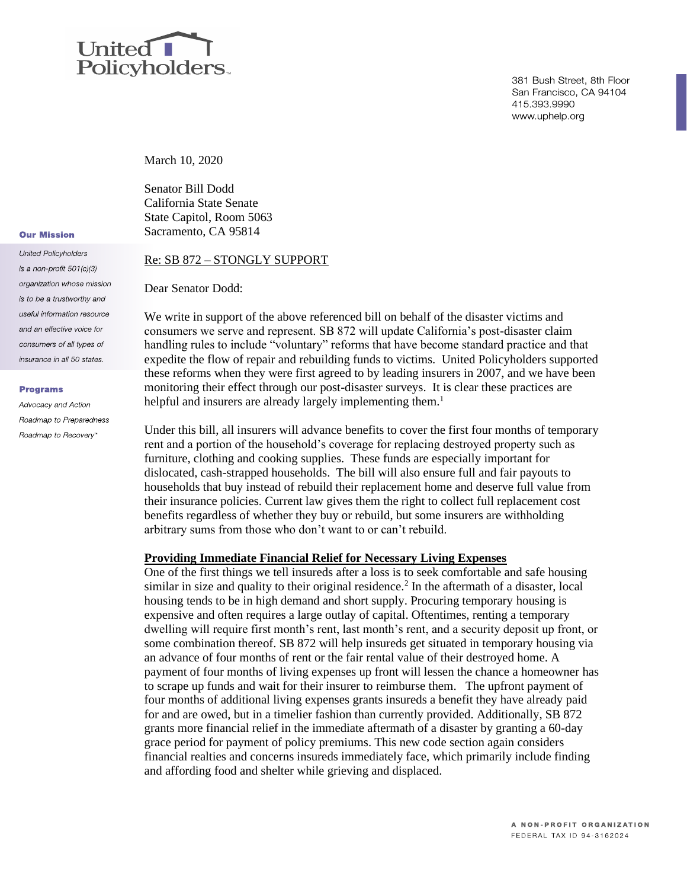

381 Bush Street, 8th Floor San Francisco, CA 94104 415 393 9990 www.uphelp.org

March 10, 2020

Senator Bill Dodd California State Senate State Capitol, Room 5063 Sacramento, CA 95814

#### Re: SB 872 – STONGLY SUPPORT

Dear Senator Dodd:

We write in support of the above referenced bill on behalf of the disaster victims and consumers we serve and represent. SB 872 will update California's post-disaster claim handling rules to include "voluntary" reforms that have become standard practice and that expedite the flow of repair and rebuilding funds to victims. United Policyholders supported these reforms when they were first agreed to by leading insurers in 2007, and we have been monitoring their effect through our post-disaster surveys. It is clear these practices are helpful and insurers are already largely implementing them.<sup>1</sup>

Under this bill, all insurers will advance benefits to cover the first four months of temporary rent and a portion of the household's coverage for replacing destroyed property such as furniture, clothing and cooking supplies. These funds are especially important for dislocated, cash-strapped households. The bill will also ensure full and fair payouts to households that buy instead of rebuild their replacement home and deserve full value from their insurance policies. Current law gives them the right to collect full replacement cost benefits regardless of whether they buy or rebuild, but some insurers are withholding arbitrary sums from those who don't want to or can't rebuild.

# **Providing Immediate Financial Relief for Necessary Living Expenses**

One of the first things we tell insureds after a loss is to seek comfortable and safe housing similar in size and quality to their original residence.<sup>2</sup> In the aftermath of a disaster, local housing tends to be in high demand and short supply. Procuring temporary housing is expensive and often requires a large outlay of capital. Oftentimes, renting a temporary dwelling will require first month's rent, last month's rent, and a security deposit up front, or some combination thereof. SB 872 will help insureds get situated in temporary housing via an advance of four months of rent or the fair rental value of their destroyed home. A payment of four months of living expenses up front will lessen the chance a homeowner has to scrape up funds and wait for their insurer to reimburse them. The upfront payment of four months of additional living expenses grants insureds a benefit they have already paid for and are owed, but in a timelier fashion than currently provided. Additionally, SB 872 grants more financial relief in the immediate aftermath of a disaster by granting a 60-day grace period for payment of policy premiums. This new code section again considers financial realties and concerns insureds immediately face, which primarily include finding and affording food and shelter while grieving and displaced.

# **Our Mission**

**United Policyholders** is a non-profit 501(c)(3) organization whose mission is to be a trustworthy and useful information resource and an effective voice for consumers of all types of insurance in all 50 states.

#### **Programs**

Advocacy and Action Roadmap to Preparedness Roadmap to Recovery"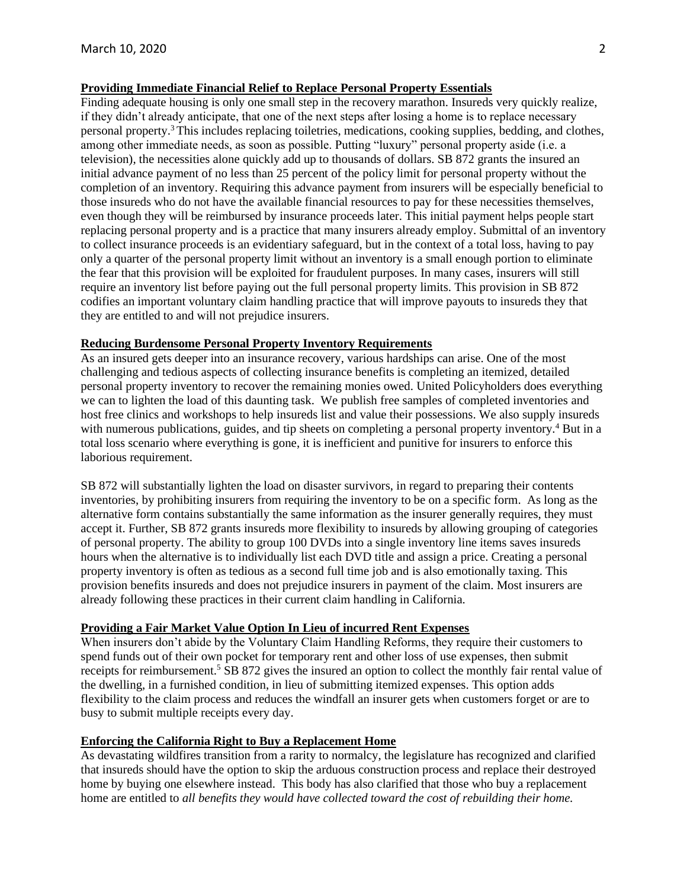# **Providing Immediate Financial Relief to Replace Personal Property Essentials**

Finding adequate housing is only one small step in the recovery marathon. Insureds very quickly realize, if they didn't already anticipate, that one of the next steps after losing a home is to replace necessary personal property.<sup>3</sup> This includes replacing toiletries, medications, cooking supplies, bedding, and clothes, among other immediate needs, as soon as possible. Putting "luxury" personal property aside (i.e. a television), the necessities alone quickly add up to thousands of dollars. SB 872 grants the insured an initial advance payment of no less than 25 percent of the policy limit for personal property without the completion of an inventory. Requiring this advance payment from insurers will be especially beneficial to those insureds who do not have the available financial resources to pay for these necessities themselves, even though they will be reimbursed by insurance proceeds later. This initial payment helps people start replacing personal property and is a practice that many insurers already employ. Submittal of an inventory to collect insurance proceeds is an evidentiary safeguard, but in the context of a total loss, having to pay only a quarter of the personal property limit without an inventory is a small enough portion to eliminate the fear that this provision will be exploited for fraudulent purposes. In many cases, insurers will still require an inventory list before paying out the full personal property limits. This provision in SB 872 codifies an important voluntary claim handling practice that will improve payouts to insureds they that they are entitled to and will not prejudice insurers.

### **Reducing Burdensome Personal Property Inventory Requirements**

As an insured gets deeper into an insurance recovery, various hardships can arise. One of the most challenging and tedious aspects of collecting insurance benefits is completing an itemized, detailed personal property inventory to recover the remaining monies owed. United Policyholders does everything we can to lighten the load of this daunting task. We publish free samples of completed inventories and host free clinics and workshops to help insureds list and value their possessions. We also supply insureds with numerous publications, guides, and tip sheets on completing a personal property inventory.<sup>4</sup> But in a total loss scenario where everything is gone, it is inefficient and punitive for insurers to enforce this laborious requirement.

SB 872 will substantially lighten the load on disaster survivors, in regard to preparing their contents inventories, by prohibiting insurers from requiring the inventory to be on a specific form. As long as the alternative form contains substantially the same information as the insurer generally requires, they must accept it. Further, SB 872 grants insureds more flexibility to insureds by allowing grouping of categories of personal property. The ability to group 100 DVDs into a single inventory line items saves insureds hours when the alternative is to individually list each DVD title and assign a price. Creating a personal property inventory is often as tedious as a second full time job and is also emotionally taxing. This provision benefits insureds and does not prejudice insurers in payment of the claim. Most insurers are already following these practices in their current claim handling in California.

# **Providing a Fair Market Value Option In Lieu of incurred Rent Expenses**

When insurers don't abide by the Voluntary Claim Handling Reforms, they require their customers to spend funds out of their own pocket for temporary rent and other loss of use expenses, then submit receipts for reimbursement.<sup>5</sup> SB 872 gives the insured an option to collect the monthly fair rental value of the dwelling, in a furnished condition, in lieu of submitting itemized expenses. This option adds flexibility to the claim process and reduces the windfall an insurer gets when customers forget or are to busy to submit multiple receipts every day.

# **Enforcing the California Right to Buy a Replacement Home**

As devastating wildfires transition from a rarity to normalcy, the legislature has recognized and clarified that insureds should have the option to skip the arduous construction process and replace their destroyed home by buying one elsewhere instead. This body has also clarified that those who buy a replacement home are entitled to *all benefits they would have collected toward the cost of rebuilding their home.*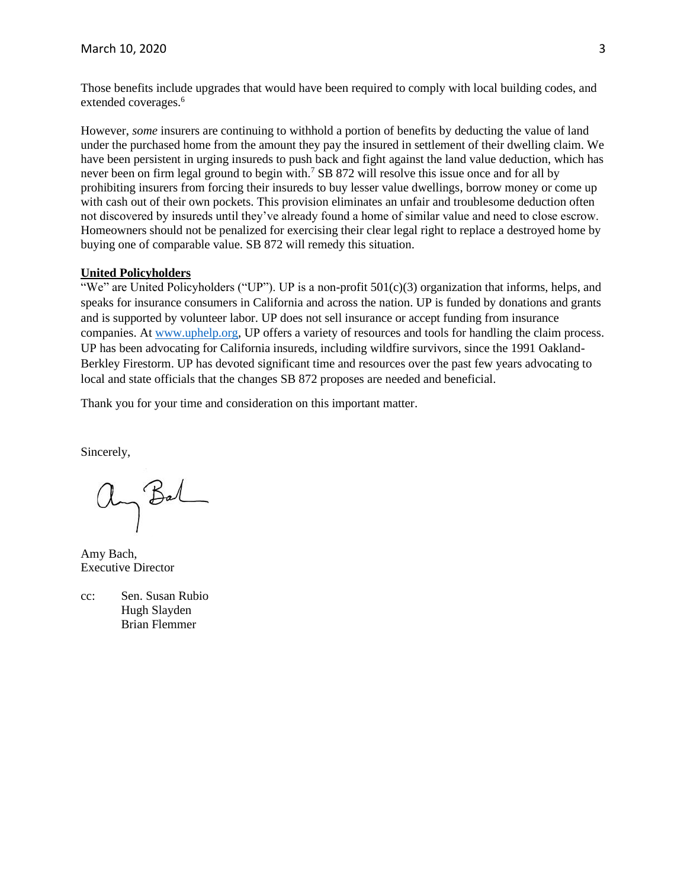Those benefits include upgrades that would have been required to comply with local building codes, and extended coverages.<sup>6</sup>

However, *some* insurers are continuing to withhold a portion of benefits by deducting the value of land under the purchased home from the amount they pay the insured in settlement of their dwelling claim. We have been persistent in urging insureds to push back and fight against the land value deduction, which has never been on firm legal ground to begin with.<sup>7</sup> SB 872 will resolve this issue once and for all by prohibiting insurers from forcing their insureds to buy lesser value dwellings, borrow money or come up with cash out of their own pockets. This provision eliminates an unfair and troublesome deduction often not discovered by insureds until they've already found a home of similar value and need to close escrow. Homeowners should not be penalized for exercising their clear legal right to replace a destroyed home by buying one of comparable value. SB 872 will remedy this situation.

### **United Policyholders**

"We" are United Policyholders ("UP"). UP is a non-profit  $501(c)(3)$  organization that informs, helps, and speaks for insurance consumers in California and across the nation. UP is funded by donations and grants and is supported by volunteer labor. UP does not sell insurance or accept funding from insurance companies. At [www.uphelp.org,](http://www.uphelp.org/) UP offers a variety of resources and tools for handling the claim process. UP has been advocating for California insureds, including wildfire survivors, since the 1991 Oakland-Berkley Firestorm. UP has devoted significant time and resources over the past few years advocating to local and state officials that the changes SB 872 proposes are needed and beneficial.

Thank you for your time and consideration on this important matter.

Sincerely,

an Bal

Amy Bach, Executive Director

cc: Sen. Susan Rubio Hugh Slayden Brian Flemmer